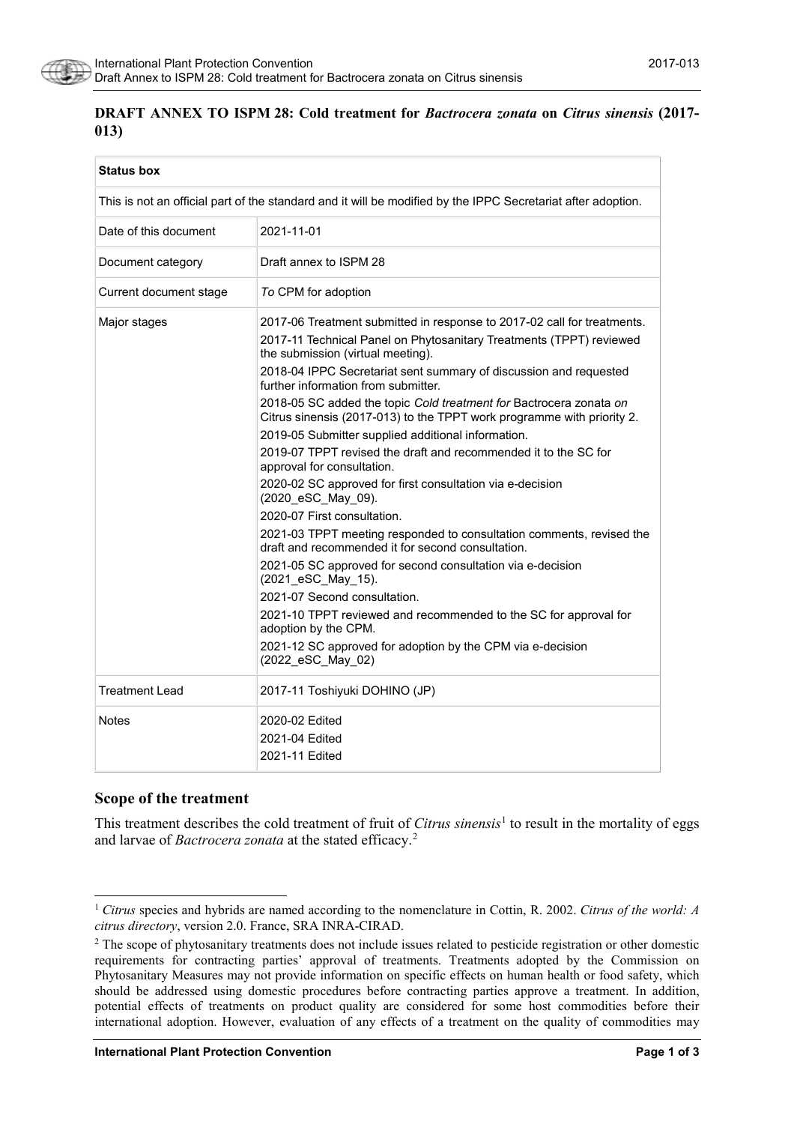

## **DRAFT ANNEX TO ISPM 28: Cold treatment for** *Bactrocera zonata* **on** *Citrus sinensis* **(2017- 013)**

| <b>Status box</b>                                                                                            |                                                                                                                                                                                                                                                                                                                                                                                                                                                                                                                                                                                                                                                                                                                                                                                                                                                                                                                                                                                                                                                                                                                                                          |  |
|--------------------------------------------------------------------------------------------------------------|----------------------------------------------------------------------------------------------------------------------------------------------------------------------------------------------------------------------------------------------------------------------------------------------------------------------------------------------------------------------------------------------------------------------------------------------------------------------------------------------------------------------------------------------------------------------------------------------------------------------------------------------------------------------------------------------------------------------------------------------------------------------------------------------------------------------------------------------------------------------------------------------------------------------------------------------------------------------------------------------------------------------------------------------------------------------------------------------------------------------------------------------------------|--|
| This is not an official part of the standard and it will be modified by the IPPC Secretariat after adoption. |                                                                                                                                                                                                                                                                                                                                                                                                                                                                                                                                                                                                                                                                                                                                                                                                                                                                                                                                                                                                                                                                                                                                                          |  |
| Date of this document                                                                                        | 2021-11-01                                                                                                                                                                                                                                                                                                                                                                                                                                                                                                                                                                                                                                                                                                                                                                                                                                                                                                                                                                                                                                                                                                                                               |  |
| Document category                                                                                            | Draft annex to ISPM 28                                                                                                                                                                                                                                                                                                                                                                                                                                                                                                                                                                                                                                                                                                                                                                                                                                                                                                                                                                                                                                                                                                                                   |  |
| Current document stage                                                                                       | To CPM for adoption                                                                                                                                                                                                                                                                                                                                                                                                                                                                                                                                                                                                                                                                                                                                                                                                                                                                                                                                                                                                                                                                                                                                      |  |
| Major stages                                                                                                 | 2017-06 Treatment submitted in response to 2017-02 call for treatments.<br>2017-11 Technical Panel on Phytosanitary Treatments (TPPT) reviewed<br>the submission (virtual meeting).<br>2018-04 IPPC Secretariat sent summary of discussion and requested<br>further information from submitter.<br>2018-05 SC added the topic Cold treatment for Bactrocera zonata on<br>Citrus sinensis (2017-013) to the TPPT work programme with priority 2.<br>2019-05 Submitter supplied additional information.<br>2019-07 TPPT revised the draft and recommended it to the SC for<br>approval for consultation.<br>2020-02 SC approved for first consultation via e-decision<br>(2020_eSC_May_09).<br>2020-07 First consultation.<br>2021-03 TPPT meeting responded to consultation comments, revised the<br>draft and recommended it for second consultation.<br>2021-05 SC approved for second consultation via e-decision<br>(2021 eSC May 15).<br>2021-07 Second consultation.<br>2021-10 TPPT reviewed and recommended to the SC for approval for<br>adoption by the CPM.<br>2021-12 SC approved for adoption by the CPM via e-decision<br>(2022 eSC May 02) |  |
| <b>Treatment Lead</b>                                                                                        | 2017-11 Toshiyuki DOHINO (JP)                                                                                                                                                                                                                                                                                                                                                                                                                                                                                                                                                                                                                                                                                                                                                                                                                                                                                                                                                                                                                                                                                                                            |  |
| <b>Notes</b>                                                                                                 | 2020-02 Edited<br>2021-04 Edited<br>2021-11 Edited                                                                                                                                                                                                                                                                                                                                                                                                                                                                                                                                                                                                                                                                                                                                                                                                                                                                                                                                                                                                                                                                                                       |  |

### **Scope of the treatment**

This treatment describes the cold treatment of fruit of *Citrus sinensis*<sup>[1](#page-0-0)</sup> to result in the mortality of eggs and larvae of *Bactrocera zonata* at the stated efficacy.[2](#page-0-1)

<span id="page-0-0"></span> <sup>1</sup> *Citrus* species and hybrids are named according to the nomenclature in Cottin, R. 2002. *Citrus of the world: A citrus directory*, version 2.0. France, SRA INRA-CIRAD.

<span id="page-0-1"></span><sup>&</sup>lt;sup>2</sup> The scope of phytosanitary treatments does not include issues related to pesticide registration or other domestic requirements for contracting parties' approval of treatments. Treatments adopted by the Commission on Phytosanitary Measures may not provide information on specific effects on human health or food safety, which should be addressed using domestic procedures before contracting parties approve a treatment. In addition, potential effects of treatments on product quality are considered for some host commodities before their international adoption. However, evaluation of any effects of a treatment on the quality of commodities may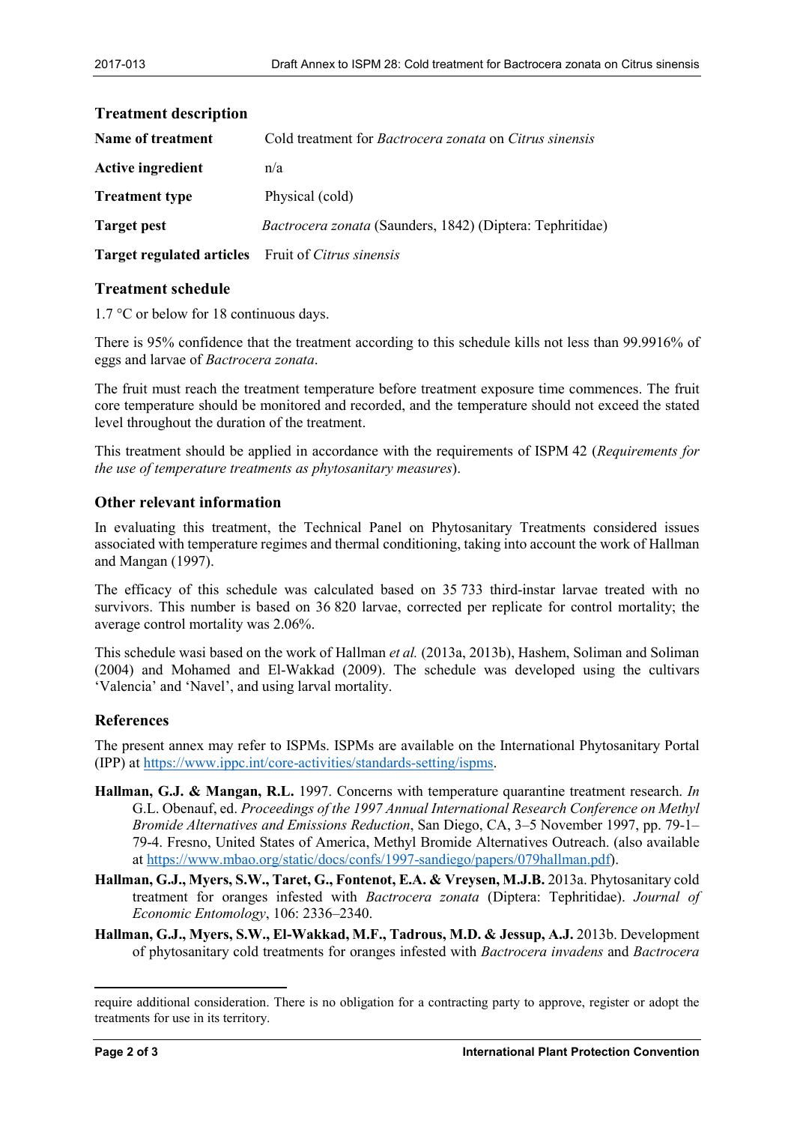| TT CAUDULU UUSUI IPUUD           |                                                                  |
|----------------------------------|------------------------------------------------------------------|
| <b>Name of treatment</b>         | Cold treatment for Bactrocera zonata on Citrus sinensis          |
| <b>Active ingredient</b>         | n/a                                                              |
| <b>Treatment type</b>            | Physical (cold)                                                  |
| <b>Target pest</b>               | <i>Bactrocera zonata</i> (Saunders, 1842) (Diptera: Tephritidae) |
| <b>Target regulated articles</b> | Fruit of Citrus sinensis                                         |

# **Treatment description**

### **Treatment schedule**

1.7 °C or below for 18 continuous days.

There is 95% confidence that the treatment according to this schedule kills not less than 99.9916% of eggs and larvae of *Bactrocera zonata*.

The fruit must reach the treatment temperature before treatment exposure time commences. The fruit core temperature should be monitored and recorded, and the temperature should not exceed the stated level throughout the duration of the treatment.

This treatment should be applied in accordance with the requirements of ISPM 42 (*Requirements for the use of temperature treatments as phytosanitary measures*).

### **Other relevant information**

In evaluating this treatment, the Technical Panel on Phytosanitary Treatments considered issues associated with temperature regimes and thermal conditioning, taking into account the work of Hallman and Mangan (1997).

The efficacy of this schedule was calculated based on 35 733 third-instar larvae treated with no survivors. This number is based on 36 820 larvae, corrected per replicate for control mortality; the average control mortality was 2.06%.

This schedule wasi based on the work of Hallman *et al.* (2013a, 2013b), Hashem, Soliman and Soliman (2004) and Mohamed and El-Wakkad (2009). The schedule was developed using the cultivars 'Valencia' and 'Navel', and using larval mortality.

### **References**

The present annex may refer to ISPMs. ISPMs are available on the International Phytosanitary Portal (IPP) at [https://www.ippc.int/core-activities/standards-setting/ispms.](https://www.ippc.int/core-activities/standards-setting/ispms)

- **Hallman, G.J. & Mangan, R.L.** 1997. Concerns with temperature quarantine treatment research. *In* G.L. Obenauf, ed. *Proceedings of the 1997 Annual International Research Conference on Methyl Bromide Alternatives and Emissions Reduction*, San Diego, CA, 3–5 November 1997, pp. 79-1– 79-4. Fresno, United States of America, Methyl Bromide Alternatives Outreach. (also available at [https://www.mbao.org/static/docs/confs/1997-sandiego/papers/079hallman.pdf\)](https://www.mbao.org/static/docs/confs/1997-sandiego/papers/079hallman.pdf).
- **Hallman, G.J., Myers, S.W., Taret, G., Fontenot, E.A. & Vreysen, M.J.B.** 2013a. Phytosanitary cold treatment for oranges infested with *Bactrocera zonata* (Diptera: Tephritidae). *Journal of Economic Entomology*, 106: 2336–2340.
- **Hallman, G.J., Myers, S.W., El-Wakkad, M.F., Tadrous, M.D. & Jessup, A.J.** 2013b. Development of phytosanitary cold treatments for oranges infested with *Bactrocera invadens* and *Bactrocera*

 $\ddot{\phantom{a}}$ 

require additional consideration. There is no obligation for a contracting party to approve, register or adopt the treatments for use in its territory.